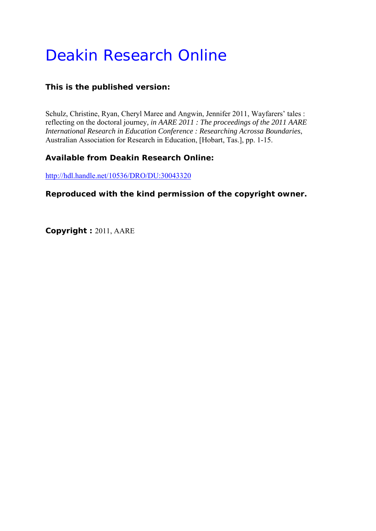# Deakin Research Online

# **This is the published version:**

Schulz, Christine, Ryan, Cheryl Maree and Angwin, Jennifer 2011, Wayfarers' tales : reflecting on the doctoral journey*, in AARE 2011 : The proceedings of the 2011 AARE International Research in Education Conference : Researching Acrossa Boundaries*, Australian Association for Research in Education, [Hobart, Tas.], pp. 1-15.

# **Available from Deakin Research Online:**

http://hdl.handle.net/10536/DRO/DU:30043320

## **Reproduced with the kind permission of the copyright owner.**

**Copyright :** 2011, AARE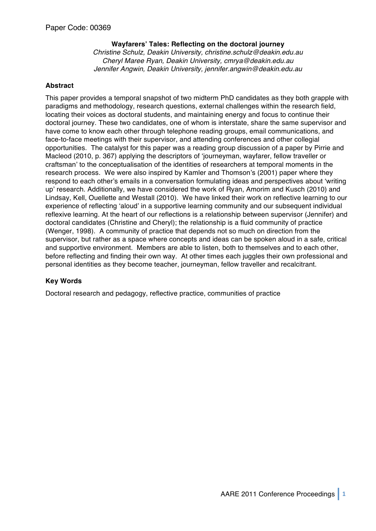## **Wayfarers' Tales: Reflecting on the doctoral journey**

*Christine Schulz, Deakin University, christine.schulz@deakin.edu.au Cheryl Maree Ryan, Deakin University, cmrya@deakin.edu.au Jennifer Angwin, Deakin University, jennifer.angwin@deakin.edu.au*

### **Abstract**

This paper provides a temporal snapshot of two midterm PhD candidates as they both grapple with paradigms and methodology, research questions, external challenges within the research field, locating their voices as doctoral students, and maintaining energy and focus to continue their doctoral journey. These two candidates, one of whom is interstate, share the same supervisor and have come to know each other through telephone reading groups, email communications, and face-to-face meetings with their supervisor, and attending conferences and other collegial opportunities. The catalyst for this paper was a reading group discussion of a paper by Pirrie and Macleod (2010, p. 367) applying the descriptors of ʻjourneyman, wayfarer, fellow traveller or craftsman' to the conceptualisation of the identities of researchers at temporal moments in the research process. We were also inspired by Kamler and Thomson's (2001) paper where they respond to each other's emails in a conversation formulating ideas and perspectives about ʻwriting up' research. Additionally, we have considered the work of Ryan, Amorim and Kusch (2010) and Lindsay, Kell, Ouellette and Westall (2010). We have linked their work on reflective learning to our experience of reflecting ʻaloud' in a supportive learning community and our subsequent individual reflexive learning. At the heart of our reflections is a relationship between supervisor (Jennifer) and doctoral candidates (Christine and Cheryl); the relationship is a fluid community of practice (Wenger, 1998). A community of practice that depends not so much on direction from the supervisor, but rather as a space where concepts and ideas can be spoken aloud in a safe, critical and supportive environment. Members are able to listen, both to themselves and to each other, before reflecting and finding their own way. At other times each juggles their own professional and personal identities as they become teacher, journeyman, fellow traveller and recalcitrant.

## **Key Words**

Doctoral research and pedagogy, reflective practice, communities of practice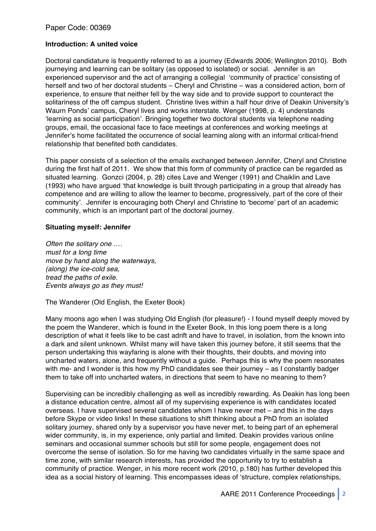#### **Introduction: A united voice**

Doctoral candidature is frequently referred to as a journey (Edwards 2006; Wellington 2010). Both journeying and learning can be solitary (as opposed to isolated) or social. Jennifer is an experienced supervisor and the act of arranging a collegial ʻcommunity of practice' consisting of herself and two of her doctoral students – Cheryl and Christine – was a considered action, born of experience, to ensure that neither fell by the way side and to provide support to counteract the solitariness of the off campus student. Christine lives within a half hour drive of Deakin University's Waurn Ponds' campus, Cheryl lives and works interstate. Wenger (1998, p. 4) understands ʻlearning as social participation'. Bringing together two doctoral students via telephone reading groups, email, the occasional face to face meetings at conferences and working meetings at Jennifer's home facilitated the occurrence of social learning along with an informal critical-friend relationship that benefited both candidates.

This paper consists of a selection of the emails exchanged between Jennifer, Cheryl and Christine during the first half of 2011. We show that this form of community of practice can be regarded as situated learning. Gonzci (2004, p. 28) cites Lave and Wenger (1991) and Chaiklin and Lave (1993) who have argued ʻthat knowledge is built through participating in a group that already has competence and are willing to allow the learner to become, progressively, part of the core of their community'. Jennifer is encouraging both Cheryl and Christine to ʻbecome' part of an academic community, which is an important part of the doctoral journey.

#### **Situating myself: Jennifer**

*Often the solitary one …. must for a long time move by hand along the waterways, (along) the ice-cold sea, tread the paths of exile. Events always go as they must!*

The Wanderer (Old English, the Exeter Book)

Many moons ago when I was studying Old English (for pleasure!) - I found myself deeply moved by the poem the Wanderer, which is found in the Exeter Book. In this long poem there is a long description of what it feels like to be cast adrift and have to travel, in isolation, from the known into a dark and silent unknown. Whilst many will have taken this journey before, it still seems that the person undertaking this wayfaring is alone with their thoughts, their doubts, and moving into uncharted waters, alone, and frequently without a guide. Perhaps this is why the poem resonates with me- and I wonder is this how my PhD candidates see their journey – as I constantly badger them to take off into uncharted waters, in directions that seem to have no meaning to them?

Supervising can be incredibly challenging as well as incredibly rewarding. As Deakin has long been a distance education centre, almost all of my supervising experience is with candidates located overseas. I have supervised several candidates whom I have never met – and this in the days before Skype or video links! In these situations to shift thinking about a PhD from an isolated solitary journey, shared only by a supervisor you have never met, to being part of an ephemeral wider community, is, in my experience, only partial and limited. Deakin provides various online seminars and occasional summer schools but still for some people, engagement does not overcome the sense of isolation. So for me having two candidates virtually in the same space and time zone, with similar research interests, has provided the opportunity to try to establish a community of practice. Wenger, in his more recent work (2010, p.180) has further developed this idea as a social history of learning. This encompasses ideas of ʻstructure, complex relationships,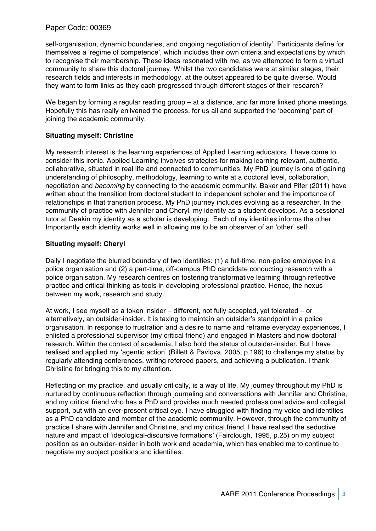self-organisation, dynamic boundaries, and ongoing negotiation of identity'. Participants define for themselves a ʻregime of competence', which includes their own criteria and expectations by which to recognise their membership. These ideas resonated with me, as we attempted to form a virtual community to share this doctoral journey. Whilst the two candidates were at similar stages, their research fields and interests in methodology, at the outset appeared to be quite diverse. Would they want to form links as they each progressed through different stages of their research?

We began by forming a regular reading group – at a distance, and far more linked phone meetings. Hopefully this has really enlivened the process, for us all and supported the ʻbecoming' part of joining the academic community.

#### **Situating myself: Christine**

My research interest is the learning experiences of Applied Learning educators. I have come to consider this ironic. Applied Learning involves strategies for making learning relevant, authentic, collaborative, situated in real life and connected to communities. My PhD journey is one of gaining understanding of philosophy, methodology, learning to write at a doctoral level, collaboration, negotiation and *becoming* by connecting to the academic community. Baker and Pifer (2011) have written about the transition from doctoral student to independent scholar and the importance of relationships in that transition process. My PhD journey includes evolving as a researcher. In the community of practice with Jennifer and Cheryl, my identity as a student develops. As a sessional tutor at Deakin my identity as a scholar is developing. Each of my identities informs the other. Importantly each identity works well in allowing me to be an observer of an ʻother' self.

#### **Situating myself: Cheryl**

Daily I negotiate the blurred boundary of two identities: (1) a full-time, non-police employee in a police organisation and (2) a part-time, off-campus PhD candidate conducting research with a police organisation. My research centres on fostering transformative learning through reflective practice and critical thinking as tools in developing professional practice. Hence, the nexus between my work, research and study.

At work, I see myself as a token insider – different, not fully accepted, yet tolerated – or alternatively, an outsider-insider. It is taxing to maintain an outsider's standpoint in a police organisation. In response to frustration and a desire to name and reframe everyday experiences, I enlisted a professional supervisor (my critical friend) and engaged in Masters and now doctoral research. Within the context of academia, I also hold the status of outsider-insider. But I have realised and applied my ʻagentic action' (Billett & Pavlova, 2005, p.196) to challenge my status by regularly attending conferences, writing refereed papers, and achieving a publication. I thank Christine for bringing this to my attention.

Reflecting on my practice, and usually critically, is a way of life. My journey throughout my PhD is nurtured by continuous reflection through journaling and conversations with Jennifer and Christine, and my critical friend who has a PhD and provides much needed professional advice and collegial support, but with an ever-present critical eye. I have struggled with finding my voice and identities as a PhD candidate and member of the academic community. However, through the community of practice I share with Jennifer and Christine, and my critical friend, I have realised the seductive nature and impact of ʻideological-discursive formations' (Fairclough, 1995, p.25) on my subject position as an outsider-insider in both work and academia, which has enabled me to continue to negotiate my subject positions and identities.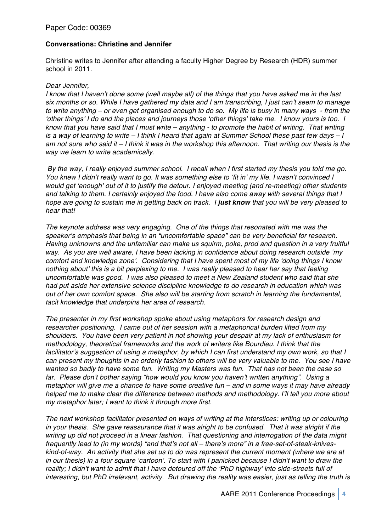## **Conversations: Christine and Jennifer**

Christine writes to Jennifer after attending a faculty Higher Degree by Research (HDR) summer school in 2011.

#### *Dear Jennifer,*

*I know that I haven*'*t done some (well maybe all) of the things that you have asked me in the last six months or so. While I have gathered my data and I am transcribing, I just can*'*t seem to manage to write anything – or even get organised enough to do so. My life is busy in many ways - from the*  ʻ*other things*' *I do and the places and journeys those* ʻ*other things*' *take me. I know yours is too. I know that you have said that I must write – anything - to promote the habit of writing. That writing is a way of learning to write – I think I heard that again at Summer School these past few days – I am not sure who said it – I think it was in the workshop this afternoon. That writing our thesis is the way we learn to write academically.*

 *By the way, I really enjoyed summer school. I recall when I first started my thesis you told me go. You knew I didn*'*t really want to go. It was something else to* ʻ*fit in*' *my life. I wasn*'*t convinced I would get* ʻ*enough*' *out of it to justify the detour. I enjoyed meeting (and re-meeting) other students and talking to them. I certainly enjoyed the food. I have also come away with several things that I hope are going to sustain me in getting back on track. I just know that you will be very pleased to hear that!*

*The keynote address was very engaging. One of the things that resonated with me was the speaker*'*s emphasis that being in an "uncomfortable space" can be very beneficial for research. Having unknowns and the unfamiliar can make us squirm, poke, prod and question in a very fruitful way. As you are well aware, I have been lacking in confidence about doing research outside* ʻ*my comfort and knowledge zone*'*. Considering that I have spent most of my life* ʻ*doing things I know nothing about*' *this is a bit perplexing to me. I was really pleased to hear her say that feeling uncomfortable was good. I was also pleased to meet a New Zealand student who said that she had put aside her extensive science discipline knowledge to do research in education which was out of her own comfort space. She also will be starting from scratch in learning the fundamental, tacit knowledge that underpins her area of research.*

*The presenter in my first workshop spoke about using metaphors for research design and researcher positioning. I came out of her session with a metaphorical burden lifted from my shoulders. You have been very patient in not showing your despair at my lack of enthusiasm for methodology, theoretical frameworks and the work of writers like Bourdieu. I think that the facilitator*'*s suggestion of using a metaphor, by which I can first understand my own work, so that I can present my thoughts in an orderly fashion to others will be very valuable to me. You see I have wanted so badly to have some fun. Writing my Masters was fun. That has not been the case so far. Please don*'*t bother saying "how would you know you haven*'*t written anything". Using a metaphor will give me a chance to have some creative fun – and in some ways it may have already helped me to make clear the difference between methods and methodology. I*'*ll tell you more about my metaphor later; I want to think it through more first.*

*The next workshop facilitator presented on ways of writing at the interstices: writing up or colouring in your thesis. She gave reassurance that it was alright to be confused. That it was alright if the writing up did not proceed in a linear fashion. That questioning and interrogation of the data might frequently lead to (in my words) "and that*'*s not all – there*'*s more" in a free-set-of-steak-kniveskind-of-way. An activity that she set us to do was represent the current moment (where we are at in our thesis) in a four square* ʻ*cartoon*'*. To start with I panicked because I didn*'*t want to draw the reality; I didn*'*t want to admit that I have detoured off the* ʻ*PhD highway*' *into side-streets full of interesting, but PhD irrelevant, activity. But drawing the reality was easier, just as telling the truth is*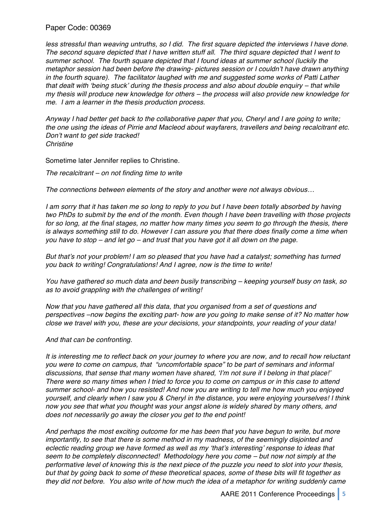less stressful than weaving untruths, so I did. The first square depicted the interviews I have done. *The second square depicted that I have written stuff all. The third square depicted that I went to summer school. The fourth square depicted that I found ideas at summer school (luckily the metaphor session had been before the drawing- pictures session or I couldn*'*t have drawn anything in the fourth square). The facilitator laughed with me and suggested some works of Patti Lather that dealt with* ʻ*being stuck*' *during the thesis process and also about double enquiry – that while my thesis will produce new knowledge for others – the process will also provide new knowledge for me. I am a learner in the thesis production process.*

*Anyway I had better get back to the collaborative paper that you, Cheryl and I are going to write; the one using the ideas of Pirrie and Macleod about wayfarers, travellers and being recalcitrant etc. Don*'*t want to get side tracked! Christine* 

Sometime later Jennifer replies to Christine.

*The recalcitrant – on not finding time to write*

*The connections between elements of the story and another were not always obvious…*

*I am sorry that it has taken me so long to reply to you but I have been totally absorbed by having two PhDs to submit by the end of the month. Even though I have been travelling with those projects for so long, at the final stages, no matter how many times you seem to go through the thesis, there is always something still to do. However I can assure you that there does finally come a time when you have to stop – and let go – and trust that you have got it all down on the page.*

*But that*'*s not your problem! I am so pleased that you have had a catalyst; something has turned you back to writing! Congratulations! And I agree, now is the time to write!*

*You have gathered so much data and been busily transcribing – keeping yourself busy on task, so as to avoid grappling with the challenges of writing!* 

*Now that you have gathered all this data, that you organised from a set of questions and perspectives –now begins the exciting part- how are you going to make sense of it? No matter how close we travel with you, these are your decisions, your standpoints, your reading of your data!*

*And that can be confronting.*

*It is interesting me to reflect back on your journey to where you are now, and to recall how reluctant you were to come on campus, that "uncomfortable space" to be part of seminars and informal discussions, that sense that many women have shared,* ʻ*I*'*m not sure if I belong in that place!*' *There were so many times when I tried to force you to come on campus or in this case to attend summer school- and how you resisted! And now you are writing to tell me how much you enjoyed yourself, and clearly when I saw you & Cheryl in the distance, you were enjoying yourselves! I think now you see that what you thought was your angst alone is widely shared by many others, and does not necessarily go away the closer you get to the end point!*

*And perhaps the most exciting outcome for me has been that you have begun to write, but more importantly, to see that there is some method in my madness, of the seemingly disjointed and eclectic reading group we have formed as well as my* ʻ*that*'*s interesting*' *response to ideas that seem to be completely disconnected! Methodology here you come – but now not simply at the performative level of knowing this is the next piece of the puzzle you need to slot into your thesis, but that by going back to some of these theoretical spaces, some of these bits will fit together as they did not before. You also write of how much the idea of a metaphor for writing suddenly came*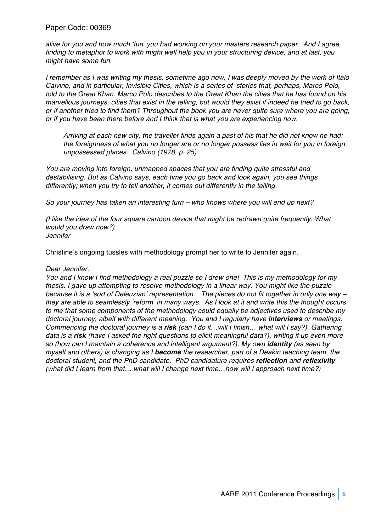*alive for you and how much* ʻ*fun*' *you had working on your masters research paper. And I agree, finding to metaphor to work with might well help you in your structuring device, and at last, you might have some fun.*

*I remember as I was writing my thesis, sometime ago now, I was deeply moved by the work of Italo Calvino, and in particular, Invisible Cities, which is a series of* ʻ*stories that, perhaps, Marco Polo, told to the Great Khan. Marco Polo describes to the Great Khan the cities that he has found on his marvellous journeys, cities that exist in the telling, but would they exist if indeed he tried to go back, or if another tried to find them? Throughout the book you are never quite sure where you are going, or if you have been there before and I think that is what you are experiencing now.*

*Arriving at each new city, the traveller finds again a past of his that he did not know he had: the foreignness of what you no longer are or no longer possess lies in wait for you in foreign, unpossessed places. Calvino (1978, p. 25)*

*You are moving into foreign, unmapped spaces that you are finding quite stressful and destabilising. But as Calvino says, each time you go back and look again, you see things differently; when you try to tell another, it comes out differently in the telling.*

*So your journey has taken an interesting turn – who knows where you will end up next?*

*(I like the idea of the four square cartoon device that might be redrawn quite frequently. What would you draw now?) Jennifer*

Christine's ongoing tussles with methodology prompt her to write to Jennifer again.

#### *Dear Jennifer,*

*You and I know I find methodology a real puzzle so I drew one! This is my methodology for my thesis. I gave up attempting to resolve methodology in a linear way. You might like the puzzle because it is a* ʻ*sort of Deleuzian*' *representation. The pieces do not fit together in only one way – they are able to seamlessly* ʻ*reform*' *in many ways. As I look at it and write this the thought occurs to me that some components of the methodology could equally be adjectives used to describe my doctoral journey, albeit with different meaning. You and I regularly have interviews or meetings. Commencing the doctoral journey is a risk (can I do it…will I finish… what will I say?). Gathering data is a risk (have I asked the right questions to elicit meaningful data?), writing it up even more so (how can I maintain a coherence and intelligent argument?). My own identity (as seen by myself and others) is changing as I become the researcher, part of a Deakin teaching team, the doctoral student, and the PhD candidate. PhD candidature requires reflection and reflexivity (what did I Iearn from that… what will I change next time…how will I approach next time?)*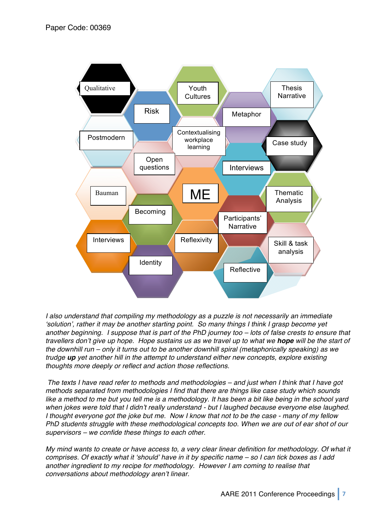

*I also understand that compiling my methodology as a puzzle is not necessarily an immediate*  ʻ*solution*'*, rather it may be another starting point. So many things I think I grasp become yet another beginning. I suppose that is part of the PhD journey too – lots of false crests to ensure that travellers don*'*t give up hope. Hope sustains us as we travel up to what we hope will be the start of the downhill run – only it turns out to be another downhill spiral (metaphorically speaking) as we trudge up yet another hill in the attempt to understand either new concepts, explore existing thoughts more deeply or reflect and action those reflections.*

*The texts I have read refer to methods and methodologies – and just when I think that I have got methods separated from methodologies I find that there are things like case study which sounds*  like a method to me but you tell me is a methodology. It has been a bit like being in the school yard *when jokes were told that I didn*'*t really understand - but I laughed because everyone else laughed. I thought everyone got the joke but me. Now I know that not to be the case - many of my fellow PhD students struggle with these methodological concepts too. When we are out of ear shot of our supervisors – we confide these things to each other.*

*My mind wants to create or have access to, a very clear linear definition for methodology. Of what it comprises. Of exactly what it* ʻ*should*' *have in it by specific name – so I can tick boxes as I add another ingredient to my recipe for methodology. However I am coming to realise that conversations about methodology aren*'*t linear.*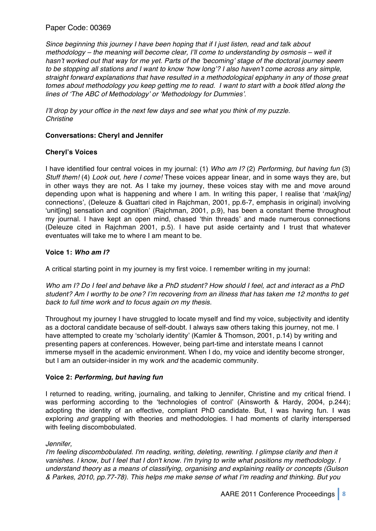*Since beginning this journey I have been hoping that if I just listen, read and talk about methodology – the meaning will become clear, I*'*ll come to understanding by osmosis – well it hasn*'*t worked out that way for me yet. Parts of the* ʻ*becoming*' *stage of the doctoral journey seem to be stopping all stations and I want to know* ʻ*how long*'*? I also haven*'*t come across any simple, straight forward explanations that have resulted in a methodological epiphany in any of those great tomes about methodology you keep getting me to read. I want to start with a book titled along the lines of* ʻ*The ABC of Methodology*' *or* ʻ*Methodology for Dummies*'*.*

*I*'*ll drop by your office in the next few days and see what you think of my puzzle. Christine*

## **Conversations: Cheryl and Jennifer**

## **Cheryl's Voices**

I have identified four central voices in my journal: (1) *Who am I?* (2) *Performing, but having fun* (3) *Stuff them!* (4) *Look out, here I come!* These voices appear linear, and in some ways they are, but in other ways they are not. As I take my journey, these voices stay with me and move around depending upon what is happening and where I am. In writing this paper, I realise that ʻ*mak[ing]* connections', (Deleuze & Guattari cited in Rajchman, 2001, pp.6-7, emphasis in original) involving ʻunit[ing] sensation and cognition' (Rajchman, 2001, p.9), has been a constant theme throughout my journal. I have kept an open mind, chased ʻthin threads' and made numerous connections (Deleuze cited in Rajchman 2001, p.5). I have put aside certainty and I trust that whatever eventuates will take me to where I am meant to be.

## **Voice 1:** *Who am I?*

A critical starting point in my journey is my first voice. I remember writing in my journal:

*Who am I? Do I feel and behave like a PhD student? How should I feel, act and interact as a PhD student? Am I worthy to be one? I*'*m recovering from an illness that has taken me 12 months to get back to full time work and to focus again on my thesis.* 

Throughout my journey I have struggled to locate myself and find my voice, subjectivity and identity as a doctoral candidate because of self-doubt. I always saw others taking this journey, not me. I have attempted to create my ʻscholarly identity' (Kamler & Thomson, 2001, p.14) by writing and presenting papers at conferences. However, being part-time and interstate means I cannot immerse myself in the academic environment. When I do, my voice and identity become stronger, but I am an outsider-insider in my work *and* the academic community.

#### **Voice 2:** *Performing, but having fun*

I returned to reading, writing, journaling, and talking to Jennifer, Christine and my critical friend. I was performing according to the ʻtechnologies of control' (Ainsworth & Hardy, 2004, p.244); adopting the identity of an effective, compliant PhD candidate. But, I was having fun. I was exploring *and* grappling with theories and methodologies. I had moments of clarity interspersed with feeling discombobulated.

#### *Jennifer,*

*I'm feeling discombobulated. I'm reading, writing, deleting, rewriting. I glimpse clarity and then it vanishes. I know, but I feel that I don't know. I'm trying to write what positions my methodology. I understand theory as a means of classifying, organising and explaining reality or concepts (Gulson & Parkes, 2010, pp.77-78). This helps me make sense of what I*'*m reading and thinking. But you*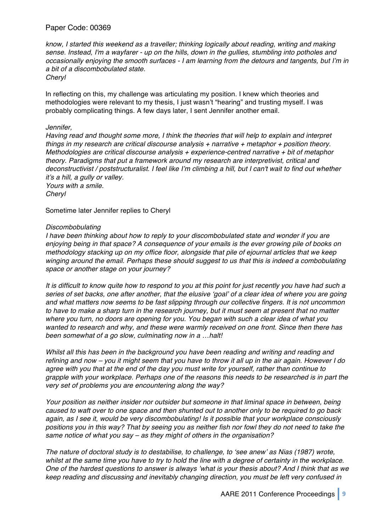*know, I started this weekend as a traveller; thinking logically about reading, writing and making sense. Instead, I'm a wayfarer - up on the hills, down in the gullies, stumbling into potholes and occasionally enjoying the smooth surfaces - I am learning from the detours and tangents, but I*'*m in a bit of a discombobulated state.*

*Cheryl*

In reflecting on this, my challenge was articulating my position. I knew which theories and methodologies were relevant to my thesis, I just wasn't "hearing" and trusting myself. I was probably complicating things. A few days later, I sent Jennifer another email.

#### *Jennifer,*

*Having read and thought some more, I think the theories that will help to explain and interpret things in my research are critical discourse analysis + narrative + metaphor + position theory. Methodologies are critical discourse analysis + experience-centred narrative + bit of metaphor theory. Paradigms that put a framework around my research are interpretivist, critical and deconstructivist / poststructuralist. I feel like I*'*m climbing a hill, but I can't wait to find out whether it*'*s a hill, a gully or valley. Yours with a smile.*

*Cheryl*

Sometime later Jennifer replies to Cheryl

#### *Discombobulating*

*I have been thinking about how to reply to your discombobulated state and wonder if you are enjoying being in that space? A consequence of your emails is the ever growing pile of books on methodology stacking up on my office floor, alongside that pile of ejournal articles that we keep winging around the email. Perhaps these should suggest to us that this is indeed a combobulating space or another stage on your journey?*

*It is difficult to know quite how to respond to you at this point for just recently you have had such a series of set backs, one after another, that the elusive* ʻ*goal*' *of a clear idea of where you are going and what matters now seems to be fast slipping through our collective fingers. It is not uncommon to have to make a sharp turn in the research journey, but it must seem at present that no matter where you turn, no doors are opening for you. You began with such a clear idea of what you wanted to research and why, and these were warmly received on one front. Since then there has been somewhat of a go slow, culminating now in a …halt!*

*Whilst all this has been in the background you have been reading and writing and reading and refining and now – you it might seem that you have to throw it all up in the air again. However I do agree with you that at the end of the day you must write for yourself, rather than continue to grapple with your workplace. Perhaps one of the reasons this needs to be researched is in part the very set of problems you are encountering along the way?*

*Your position as neither insider nor outsider but someone in that liminal space in between, being caused to waft over to one space and then shunted out to another only to be required to go back again, as I see it, would be very discombobulating! Is it possible that your workplace consciously positions you in this way? That by seeing you as neither fish nor fowl they do not need to take the same notice of what you say – as they might of others in the organisation?*

*The nature of doctoral study is to destabilise, to challenge, to* ʻ*see anew*' *as Nias (1987) wrote, whilst at the same time you have to try to hold the line with a degree of certainty in the workplace. One of the hardest questions to answer is always* '*what is your thesis about? And I think that as we keep reading and discussing and inevitably changing direction, you must be left very confused in*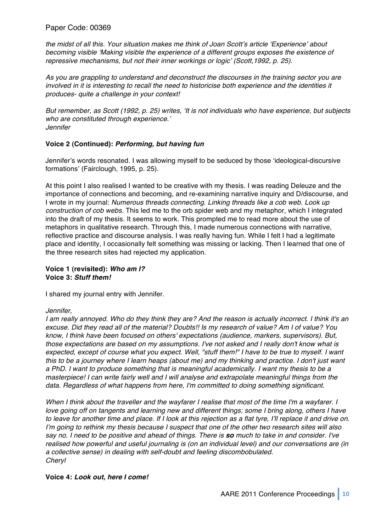*the midst of all this. Your situation makes me think of Joan Scott*'*s article* ʻ*Experience*' *about becoming visible* ʻ*Making visible the experience of a different groups exposes the existence of repressive mechanisms, but not their inner workings or logic*' *(Scott,1992, p. 25).*

*As you are grappling to understand and deconstruct the discourses in the training sector you are involved in it is interesting to recall the need to historicise both experience and the identities it produces- quite a challenge in your context!*

*But remember, as Scott (1992, p. 25) writes,* ʻ*It is not individuals who have experience, but subjects who are constituted through experience.*' *Jennifer*

#### **Voice 2 (Continued):** *Performing, but having fun*

Jennifer's words resonated. I was allowing myself to be seduced by those ʻideological-discursive formations' (Fairclough, 1995, p. 25).

At this point I also realised I wanted to be creative with my thesis. I was reading Deleuze and the importance of connections and becoming, and re-examining narrative inquiry and D/discourse, and I wrote in my journal: *Numerous threads connecting. Linking threads like a cob web. Look up construction of cob webs.* This led me to the orb spider web and my metaphor, which I integrated into the draft of my thesis. It seems to work. This prompted me to read more about the use of metaphors in qualitative research. Through this, I made numerous connections with narrative, reflective practice and discourse analysis. I was really having fun. While I felt I had a legitimate place and identity, I occasionally felt something was missing or lacking. Then I learned that one of the three research sites had rejected my application.

#### **Voice 1 (revisited):** *Who am I?* **Voice 3:** *Stuff them!*

I shared my journal entry with Jennifer.

#### *Jennifer,*

*I am really annoyed. Who do they think they are? And the reason is actually incorrect. I think it's an excuse. Did they read all of the material? Doubts!! Is my research of value? Am I of value? You know, I think have been focused on others' expectations (audience, markers, supervisors). But, those expectations are based on my assumptions. I've not asked and I really don't know what is expected, except of course what you expect. Well, "stuff them!" I have to be true to myself. I want this to be a journey where I learn heaps (about me) and my thinking and practice. I don't just want a PhD. I want to produce something that is meaningful academically. I want my thesis to be a masterpiece! I can write fairly well and I will analyse and extrapolate meaningful things from the data. Regardless of what happens from here, I'm committed to doing something significant.* 

*When I think about the traveller and the wayfarer I realise that most of the time I'm a wayfarer. I love going off on tangents and learning new and different things; some I bring along, others I have to leave for another time and place. If I look at this rejection as a flat tyre, I*'*ll replace it and drive on. I*'*m going to rethink my thesis because I suspect that one of the other two research sites will also say no. I need to be positive and ahead of things. There is so much to take in and consider. I've realised how powerful and useful journaling is (on an individual level) and our conversations are (in a collective sense) in dealing with self-doubt and feeling discombobulated. Cheryl*

#### **Voice 4:** *Look out, here I come!*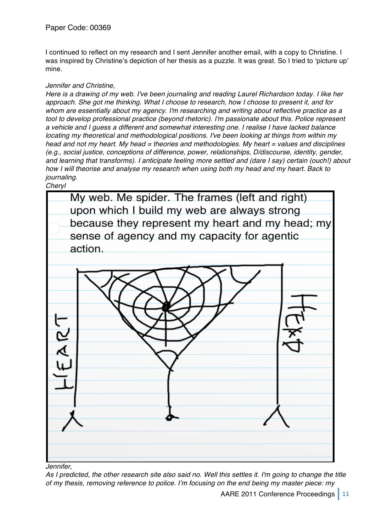I continued to reflect on my research and I sent Jennifer another email, with a copy to Christine. I was inspired by Christine's depiction of her thesis as a puzzle. It was great. So I tried to 'picture up' mine.

## *Jennifer and Christine,*

*Here is a drawing of my web. I've been journaling and reading Laurel Richardson today. I like her approach. She got me thinking. What I choose to research, how I choose to present it, and for whom are essentially about my agency. I'm researching and writing about reflective practice as a tool to develop professional practice (beyond rhetoric). I'm passionate about this. Police represent a vehicle and I guess a different and somewhat interesting one. I realise I have lacked balance locating my theoretical and methodological positions. I've been looking at things from within my head and not my heart. My head = theories and methodologies. My heart = values and disciplines (e.g., social justice, conceptions of difference, power, relationships, D/discourse, identity, gender, and learning that transforms). I anticipate feeling more settled and (dare I say) certain (ouch!) about how I will theorise and analyse my research when using both my head and my heart. Back to journaling.*

*Cheryl*



*Jennifer,*

*As I predicted, the other research site also said no. Well this settles it. I'm going to change the title of my thesis, removing reference to police. I*'*m focusing on the end being my master piece: my*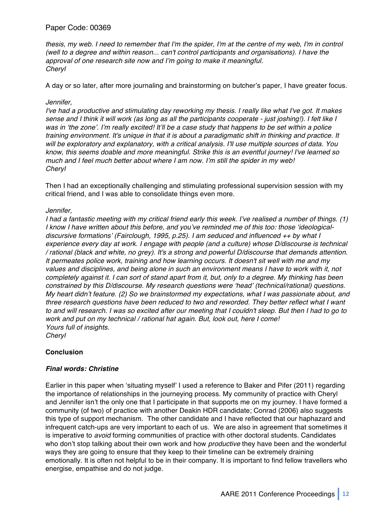*thesis, my web. I need to remember that I'm the spider, I'm at the centre of my web, I'm in control (well to a degree and within reason... can't control participants and organisations). I have the approval of one research site now and I*'*m going to make it meaningful. Cheryl*

A day or so later, after more journaling and brainstorming on butcher's paper, I have greater focus.

#### *Jennifer,*

*I've had a productive and stimulating day reworking my thesis. I really like what I've got. It makes sense and I think it will work (as long as all the participants cooperate - just joshing!). I felt like I was in* ʻ*the zone*'*. I*'*m really excited! It*'*ll be a case study that happens to be set within a police training environment. It's unique in that it is about a paradigmatic shift in thinking and practice. It will be exploratory and explanatory, with a critical analysis. I'll use multiple sources of data. You know, this seems doable and more meaningful. Strike this is an eventful journey! I've learned so much and I feel much better about where I am now. I*'*m still the spider in my web! Cheryl*

Then I had an exceptionally challenging and stimulating professional supervision session with my critical friend, and I was able to consolidate things even more.

#### *Jennifer,*

*I had a fantastic meeting with my critical friend early this week. I*'*ve realised a number of things. (1) I know I have written about this before, and you*'*ve reminded me of this too: those* ʻ*ideologicaldiscursive formations*' *(Fairclough, 1995, p.25). I am seduced and influenced ++ by what I experience every day at work. I engage with people (and a culture) whose D/discourse is technical / rational (black and white, no grey). It's a strong and powerful D/discourse that demands attention. It permeates police work, training and how learning occurs. It doesn't sit well with me and my values and disciplines, and being alone in such an environment means I have to work with it, not completely against it. I can sort of stand apart from it, but, only to a degree. My thinking has been constrained by this D/discourse. My research questions were* ʻ*head*' *(technical/rational) questions. My heart didn*'*t feature. (2) So we brainstormed my expectations, what I was passionate about, and three research questions have been reduced to two and reworded. They better reflect what I want to and will research. I was so excited after our meeting that I couldn't sleep. But then I had to go to work and put on my technical / rational hat again. But, look out, here I come! Yours full of insights. Cheryl*

#### **Conclusion**

#### *Final words: Christine*

Earlier in this paper when ʻsituating myself' I used a reference to Baker and Pifer (2011) regarding the importance of relationships in the journeying process. My community of practice with Cheryl and Jennifer isn't the only one that I participate in that supports me on my journey. I have formed a community (of two) of practice with another Deakin HDR candidate; Conrad (2006) also suggests this type of support mechanism. The other candidate and I have reflected that our haphazard and infrequent catch-ups are very important to each of us. We are also in agreement that sometimes it is imperative to *avoid* forming communities of practice with other doctoral students. Candidates who don't stop talking about their own work and how *productive* they have been and the wonderful ways they are going to ensure that they keep to their timeline can be extremely draining emotionally. It is often not helpful to be in their company. It is important to find fellow travellers who energise, empathise and do not judge.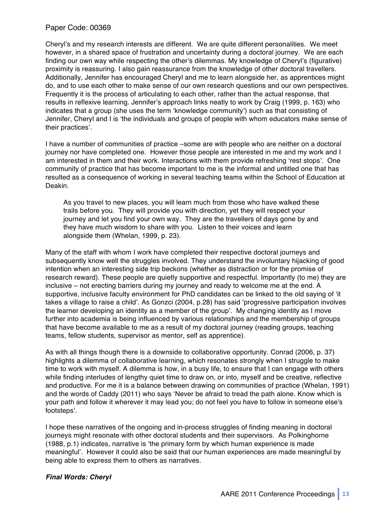Cheryl's and my research interests are different. We are quite different personalities. We meet however, in a shared space of frustration and uncertainty during a doctoral journey. We are each finding our own way while respecting the other's dilemmas. My knowledge of Cheryl's (figurative) proximity is reassuring. I also gain reassurance from the knowledge of other doctoral travellers. Additionally, Jennifer has encouraged Cheryl and me to learn alongside her, as apprentices might do, and to use each other to make sense of our own research questions and our own perspectives. Frequently it is the process of articulating to each other, rather than the actual response, that results in reflexive learning. Jennifer's approach links neatly to work by Craig (1999, p. 163) who indicates that a group (she uses the term ʻknowledge community') such as that consisting of Jennifer, Cheryl and I is ʻthe individuals and groups of people with whom educators make sense of their practices'.

I have a number of communities of practice –some are with people who are neither on a doctoral journey nor have completed one. However those people are interested in me and my work and I am interested in them and their work. Interactions with them provide refreshing ʻrest stops'. One community of practice that has become important to me is the informal and untitled one that has resulted as a consequence of working in several teaching teams within the School of Education at Deakin.

As you travel to new places, you will learn much from those who have walked these trails before you. They will provide you with direction, yet they will respect your journey and let you find your own way. They are the travellers of days gone by and they have much wisdom to share with you. Listen to their voices and learn alongside them (Whelan, 1999, p. 23).

Many of the staff with whom I work have completed their respective doctoral journeys and subsequently know well the struggles involved. They understand the involuntary hijacking of good intention when an interesting side trip beckons (whether as distraction or for the promise of research reward). These people are quietly supportive and respectful. Importantly (to me) they are inclusive – not erecting barriers during my journey and ready to welcome me at the end. A supportive, inclusive faculty environment for PhD candidates can be linked to the old saying of ʻit takes a village to raise a child'. As Gonzci (2004, p.28) has said ʻprogressive participation involves the learner developing an identity as a member of the group'. My changing identity as I move further into academia is being influenced by various relationships and the membership of groups that have become available to me as a result of my doctoral journey (reading groups, teaching teams, fellow students, supervisor as mentor, self as apprentice).

As with all things though there is a downside to collaborative opportunity. Conrad (2006, p. 37) highlights a dilemma of collaborative learning, which resonates strongly when I struggle to make time to work with myself. A dilemma is how, in a busy life, to ensure that I can engage with others while finding interludes of lengthy quiet time to draw on, or into, myself and be creative, reflective and productive. For me it is a balance between drawing on communities of practice (Whelan, 1991) and the words of Caddy (2011) who says ʻNever be afraid to tread the path alone. Know which is your path and follow it wherever it may lead you; do not feel you have to follow in someone else's footsteps'.

I hope these narratives of the ongoing and in-process struggles of finding meaning in doctoral journeys might resonate with other doctoral students and their supervisors. As Polkinghorne (1988, p.1) indicates, narrative is ʻthe primary form by which human experience is made meaningful'. However it could also be said that our human experiences are made meaningful by being able to express them to others as narratives.

## *Final Words: Cheryl*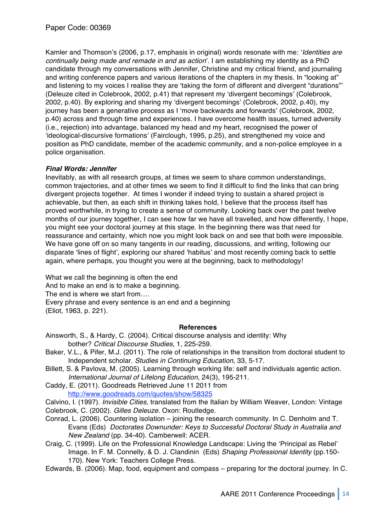Kamler and Thomson's (2006, p.17, emphasis in original) words resonate with me: ʻ*Identities are continually being made and remade in and as action*'. I am establishing my identity as a PhD candidate through my conversations with Jennifer, Christine and my critical friend, and journaling and writing conference papers and various iterations of the chapters in my thesis. In "looking at" and listening to my voices I realise they are ʻtaking the form of different and divergent "durations"' (Deleuze cited in Colebrook, 2002, p.41) that represent my ʻdivergent becomings' (Colebrook, 2002, p.40). By exploring and sharing my ʻdivergent becomings' (Colebrook, 2002, p.40), my journey has been a generative process as I ʻmove backwards and forwards' (Colebrook, 2002, p.40) across and through time and experiences. I have overcome health issues, turned adversity (i.e., rejection) into advantage, balanced my head and my heart, recognised the power of ʻideological-discursive formations' (Fairclough, 1995, p.25), and strengthened my voice and position as PhD candidate, member of the academic community, and a non-police employee in a police organisation.

## *Final Words: Jennifer*

Inevitably, as with all research groups, at times we seem to share common understandings, common trajectories, and at other times we seem to find it difficult to find the links that can bring divergent projects together. At times I wonder if indeed trying to sustain a shared project is achievable, but then, as each shift in thinking takes hold, I believe that the process itself has proved worthwhile, in trying to create a sense of community. Looking back over the past twelve months of our journey together, I can see how far we have all travelled, and how differently, I hope, you might see your doctoral journey at this stage. In the beginning there was that need for reassurance and certainty, which now you might look back on and see that both were impossible. We have gone off on so many tangents in our reading, discussions, and writing, following our disparate ʻlines of flight', exploring our shared ʻhabitus' and most recently coming back to settle again, where perhaps, you thought you were at the beginning, back to methodology!

What we call the beginning is often the end And to make an end is to make a beginning. The end is where we start from…. Every phrase and every sentence is an end and a beginning (Eliot, 1963, p. 221).

#### **References**

Ainsworth, S., & Hardy, C. (2004). Critical discourse analysis and identity: Why bother? *Critical Discourse Studies*, 1, 225-259.

- Baker, V.L., & Pifer, M.J. (2011). The role of relationships in the transition from doctoral student to Independent scholar. *Studies in Continuing Education,* 33, 5-17.
- Billett, S. & Pavlova, M. (2005). Learning through working life: self and individuals agentic action. *International Journal of Lifelong Education*, 24(3), 195-211.
- Caddy, E. (2011). Goodreads Retrieved June 11 2011 from http://www.goodreads.com/quotes/show/58325
- Calvino, I. (1997). *Invisible Cities*, translated from the Italian by William Weaver, London: Vintage
- Colebrook, C. (2002). *Gilles Deleuze.* Oxon: Routledge.
- Conrad, L. (2006). Countering isolation joining the research community. In C. Denholm and T. Evans (Eds) *Doctorates Downunder: Keys to Successful Doctoral Study in Australia and New Zealand* (pp. 34-40). Camberwell: ACER.
- Craig, C. (1999). Life on the Professional Knowledge Landscape: Living the ʻPrincipal as Rebel' Image. In F. M. Connelly, & D. J. Clandinin (Eds) *Shaping Professional Identity* (pp.150- 170). New York: Teachers College Press.
- Edwards, B. (2006). Map, food, equipment and compass preparing for the doctoral journey. In C.